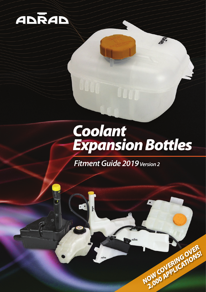

## **Coolant<br>Expansion Bottles**

**Dunida** 

**NOW COVERING OVER 2,000 APPLICATIONS!** 

*Fitment Guide 2019 Version 2*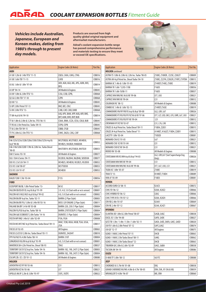*Vehicles include Australian, Japanese, European and Korean makes, dating from 1980's through to present day models.* 

**Products are sourced from high quality global original equipment and aftermarket manufacturers.** 

**Adrad's coolant expansion bottle range has passed comprehensive performance and materials testing to ensure they meet or exceed OE specifications.** 



| <b>Application</b>                                               | Engine Codes (& Notes)                                        | Part No. |
|------------------------------------------------------------------|---------------------------------------------------------------|----------|
| <b>AUDI</b>                                                      |                                                               |          |
| A1 8X 1.2 ltr & 1.4 ltr TFSI '11-15                              | CBZA, CAXA, CAVG, CTHG                                        | COB016   |
| A1 8X 1.6ltr TDI '11-15                                          | CAYB                                                          | COB016   |
| A3 8L 1.6 tr & 1.8 ltr '97-04                                    | AEH, AGN, AGU, AKL, APG, AUM, AVU,<br>BFQ                     | C0B014   |
| A3 8P '04-14                                                     | All Models & Engines                                          | COB045   |
| A3 8V 1.8ltr & 2.0ltr TFSI '13-                                  | CJSA, CJSB, CZPB,                                             | COB068   |
| Q2 GA 2.0ltr TDI '17-18                                          | <b>CZPB</b>                                                   | COB068   |
| Q3 8U '12-                                                       | All Models & Engines                                          | COB045   |
| S3 8P 2.0ltr Petrol '07-13                                       | BHZ, BZC, CDLC                                                | COB045   |
| S3 8V 2.0ltr TFSI '13-                                           | CJXB, CJXF, CJXD, DJHB                                        | COB068   |
| TT 8N 4cyl & V6 '99-10                                           | AJQ, APX, BAM, APP, AUQ, ARY, BHE,<br>BFP, AUM, BVR, BVP, BUB | C0B014   |
| TT 8J 1.8ltr & 2.0ltr & 3.2ltr Inc. TFSI '06-15                  | CDAA, BWA, CCZA, CESA, CDLB, BUB                              | COB045   |
| TT RS 8J 2.5ltr Petrol Inc. Turbo '09-15                         | CEPB, CEPB                                                    | COB045   |
| TT 8J 2.0ltr TDI '09-15                                          | CBBB, CFGB                                                    | COB045   |
| TT FV 2.0ltr & 2.5ltr TFSI '15-                                  | CHHC, DAZA, CJXG, CJXF                                        | COB068   |
| <b>BMW</b>                                                       |                                                               |          |
| E46 323i/323ci/328i/328ci/330i/330ci/325ti 4cyl &<br>6cyl '98-06 | M52TUB28, M52TUB25, M54B30,<br>M54B25, N42B20, N46B20A        | COB052   |
| E46 318i/320i/320D 1.9ltr & 2.0ltr Inc. Turbo Diesel<br>$98-05$  | M43TUB19, M52TUB20, M47D20                                    | COB053   |
| E60 5 Series '03-10                                              | All Models & Engines                                          | COB077   |
| E63 / E64 6 Series '04-11                                        | N52B30, N62B44, N62B48, S85B50A                               | C0B077   |
| E83 X3 2.5i/3.0i '04-11                                          | M54B25, M54B30, N52B25, N52B30                                | COB052   |
| E53 X5 3.0d '00-07                                               | M57TUD30                                                      | COB053   |
| E53 X5 3.0i '01-07                                               | M54B30                                                        | COB052   |
| DAEW00                                                           |                                                               |          |
| KALOS T200 1.5ltr '03-04                                         | F15S                                                          | COB056   |
| <b>FORD</b>                                                      |                                                               |          |
| ECOSPORT BK/BL 1.0ltr Petrol Turbo '13-                          | M <sub>1JC</sub>                                              | COB017   |
| FALCON EB/ED/EF/EL 6cyl & 8cyl '91-99                            | 3.9, 4.0, 5.0 (Suit with or w/o sensor)                       | C0B001   |
| FALCON AU1/AU2/AU3 6cyl & 8cyl '99-02                            | 4.0, 5.0 (Suit with or w/o sensor)                            | C0B002   |
| FALCON BA/BF 6cyl Inc. Turbo '02-11                              | BARRA (2 Pipe Style)                                          | COB003   |
| FALCON BA/BF/FG/ 5.0ltr & 5.4ltr V8 '03-16                       | BOSS 32V ENGINE (2 Pipe Style)                                | COB011   |
| FAILANE BA/BF 5.4 ltr V8 '03-08                                  | BARRA 220, 230 (1 Pipe Style)                                 | C0B004   |
| FALCON FG/FGX 6cyl Inc. Turbo '08-16                             | BARRA 270T/ECOLPI (1 Pipe Style)                              | C0B004   |
| FALCON G6E ECOBOOST 2.0ltr Turbo '14-16                          | <b>DURATEC (1 Pipe Style)</b>                                 | C0B004   |
| FIESTA WP/WQ 1.4ltr & 1.6ltr '02-09                              | FYJA, FXJA                                                    | COB008   |
| FIESTA WS/WT/WZ 4cyl Petrol Inc. Turbo Diesel '09-13             | HHJC, TZJB, HXJA, HXJB, TSJA, U5JA,<br>JTJA                   | COB017   |
| FOCUS LR '02-05                                                  | All Engines                                                   | COB065   |
| FOCUS LS/LT/LV 2.0ltr Inc. Turbo Diesel '05-11                   | DURATEC, D4204T                                               | COB010   |
| FPV F6/F6E FG 4.0ltr Turbo '08-14                                | BARRA 310T                                                    | COB004   |
| LONGREACH XG/XH 6cyl & 8cyl '93-99                               | 4.0, 5.0 (Suit with or w/o sensor)                            | COB001   |
| MAVERICK DA 4.2 Itr Petrol Inc. Diesel '88-93                    | <b>TB42</b>                                                   | COB037   |
| TERRITORY SX/SY/SZ 6cyl Inc. Turbo '04-16                        | BARRA 182, 190, 245T (2 Pipe Style)                           | COB003   |
| TERRITORY SX/SY/SZ 6cyl Inc. Turbo '04-16                        | BARRA 182, 190, 245T (1 Pipe Style)                           | COB004   |
| ESCAPE ZB / ZC / ZD '01-12                                       | All Models & Engines                                          | COB080   |
| <b>HOLDEN</b>                                                    |                                                               |          |
| ADVENTRA VZ/VY V8 '03-06                                         | LS1                                                           | COB012   |
| ADVENTRA VZ V6 '05-06                                            | LY7                                                           | COB021   |
| APOLLO JM/JP 2.2ltr & 3.0ltr '93-97                              | 5SFE, 3VZFE                                                   | COB022   |

| <b>Application</b>                                  | Engine Codes (& Notes)                       | Part No. |
|-----------------------------------------------------|----------------------------------------------|----------|
| <b>HOLDEN</b> continued                             |                                              |          |
| ASTRA TS 1.8ltr & 2.0ltr & 2.2ltr Inc. Turbo '98-05 | Z18XE, Z18XER, Z22SE, Z20LET                 | COB009   |
| ASTRA AH 4cyl Petrol Inc. Diesel Turbo '04-10       | Z18XE, Z22YH, Z20LER, Z19DT, Z19TDH          | COB013   |
| BARINA XC 1.4 ltr & 1.8 ltr '01-05                  | Z14XEP, Z14XE, Z18XE                         | COB019   |
| BARINA TK 1.6 Itr '12/05-7/08                       | F16D3                                        | COB056   |
| <b>BARINA TK 1.6 tr '8/08-11</b>                    | F16D3                                        | COB057   |
| CAPRICE WH/WK/WL V6 & V8 '99-06                     | LY7, LN3                                     | COB021   |
| CAPRICE WH/WK V8 '99-04                             | LS1                                          | COB012   |
| <b>COLORADO RC '08-12</b>                           | All Models & Engines                         | COB088   |
| COMBO XC 1.4 Itr & 1.6 Itr '02-13                   | Z14XEP, Z16SE                                | COB019   |
| COMMODORE VN/VP/VR/VS 6cyl & 8cyl '89-00            | LG2, LB9, L67                                | COB026   |
| COMMODORE VT/VU/VX/VY/VZ V6 & V8 '97-06             | LY7, LLT, LEO, LW2, LFX, LWR, L67, LN3       | C0B021   |
| COMMODORE VT/VU/VX/VY V8 '99-04                     | LS1                                          | COB012   |
| CREWMAN VY/VZ V8 '03-07                             | LS1, L76, L98                                | COB012   |
| CRUZE JG 4cyl Petrol Inc. Turbo Diesel '09-11       | F18D4, Z20S1                                 | COB015   |
| CRUZE JH 4cyl Petrol Inc. Turbo Diesel '11-         | A14NET, A16LET, F18D4, Z20D1                 | COB015   |
| LACETTI 1.8ltr '03-04                               | T18SED                                       | COB081   |
| <b>MONARO CV6 V2 '01-05</b>                         | L67                                          | COB021   |
| MONARO CV8 V2 V8 '01-04                             | LS1                                          | COB012   |
| MONARO CV8 VZ V8 '04-05                             | LS1                                          | COB021   |
| RODEO RA '03-08                                     | All Models & Engines                         | COB088   |
| STATESMAN VR/VS/WH 6cyl & 8cyl '94-03               | LG2, LB9, L67 (Suit Supercharge Eng<br>Only) | COB026   |
| STATESMAN WH/WKV8 '99-04                            | LS1                                          | COB012   |
| STATESMAN WH/WK/WL V6 & V8 '99-06                   | LY7, L67, LN3, LS1                           | COB021   |
| TIGRA XC 1.8 Itr '05-07                             | Z18XE                                        | COB019   |
| <b>TRAX TJ '13-</b>                                 | <b>B14NET, F18D4</b>                         | COB089   |
| VIVA JF '05-09                                      | F18D3                                        | C0B081   |
| <b>HONDA</b>                                        |                                              |          |
| ACCORD EURO CU '08-15                               | K24Z3                                        | COB072   |
| <b>CIVIC FD '06-12</b>                              | K20A, K20Z2                                  | COB066   |
| CIVIC HYBRID FD '06-12                              | LDA <sub>2</sub>                             | C0B066   |
| CIVIC TYPE R FD / FN '07-12                         | K20A, K20Z4                                  | COB066   |
| CRV RD 2.4 Itr '01-07                               | K24A1                                        | COB069   |
| CRV RE 2.4 Itr '07-12                               | K24A, K24Z1                                  | C0B067   |
| <b>HYUNDAI</b>                                      |                                              |          |
| ELANTRA XD 1.8ltr & 2.0ltr Petrol '00-07            | G4GB, G4GC                                   | COB038   |
| EXCEL X3 1.5 Itr '94-00                             | G4FK, G4EK                                   | C0B027   |
| GETZ TB 1.3ltr / 1.4ltr / 1.5ltr / 1.6ltr '02-11    | G4EA, G4EE, DAFA, G4EC, G4ED                 | COB020   |
| i30 FD 1.6ltr & 2.0ltr Petrol '07-12                | G4FC,G4GC                                    | C0B074   |
| i30 GD '12-17                                       | All Engines                                  | COB075   |
| ILOAD / I MAX 2.4ltr Petrol '07-15                  | D4CB                                         | COB063   |
| ILOAD / I MAX 2.5ltr Turbo Diesel '08-11            | G4KG                                         | COB062   |
| ILOAD / I MAX 2.5Itr Turbo Diesel '12-              | D4CB                                         | COB063   |
| TIBURON GK 2.0ltr & 2.6ltr '02-09                   | G4GC, G6BA                                   | COB038   |
| <b>TUCSON JM '04-10</b>                             | All Engines                                  | COB086   |
| <b>ISUZU</b>                                        |                                              |          |
| D-MAX TF 3.0ltr '08-12                              | 4JJ1TC                                       | COB088   |
| <b>JEEP</b>                                         |                                              |          |
| CHEROKEE KJ 3.7ltr V6 '01-08                        | EKG                                          | COB058   |
| GRAND CHEROKEE WJ/WG 4.0ltr & 4.7ltr '00-05         | ERH, EVA, XY (V6 & V8)                       | COB059   |
| WRANGLER TJ 4.0ltr '96-07                           | MX, ERH                                      | COB060   |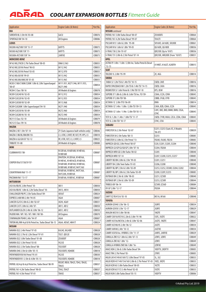## *COOLANT EXPANSION BOTTLES Fitment Guide*

| <b>Application</b>                                             | Engine Codes (& Notes)                                                                                               | Part No.      |
|----------------------------------------------------------------|----------------------------------------------------------------------------------------------------------------------|---------------|
| <b>KIA</b>                                                     |                                                                                                                      |               |
| SORENTO BL 3.5 Itr V6 '03-08                                   | G6CU                                                                                                                 | C0B076        |
| SPORTAGE KM '04-10                                             | <b>All Engines</b>                                                                                                   | C0B086        |
| <b>LEXUS</b>                                                   |                                                                                                                      |               |
| NX200t AGZ10R/15R '15-17                                       | 8ATFTS                                                                                                               | C0B073        |
| NX300 AGZ10R/15R '17-                                          | 8ATFTS                                                                                                               | COB073        |
| NX300h AYZ10R/15R '14-                                         | 2ARFXE                                                                                                               | C0B073        |
| <b>MERCEDES BENZ</b>                                           |                                                                                                                      |               |
| W163 ML270CDI 2.7ltr Turbo Diesel '00-05                       | OM612.963                                                                                                            | COB055        |
| W163 ML320 V6 Petrol '98-03                                    | M112.942                                                                                                             | COB055        |
| W163 ML350 V6 Petrol '03-05                                    | M112.970                                                                                                             | COB055        |
| W163 ML430 V8 '99-01                                           | M113.942                                                                                                             | COB055        |
| W163 ML500/AMG V8 '01-05                                       | M113.965                                                                                                             | COB055        |
| W203 C180/C180K/C200K 1.8ltr & 2.0ltr Supercharged<br>$'00-07$ | M111.951, M271.946, M111.955,<br>M271.940                                                                            | C0B054        |
| W204 C Class '08-16                                            | All Models & Engines                                                                                                 | C0B078        |
| W209 CLK240 V6 '02-05                                          | M112.912                                                                                                             | C0B054        |
| W209 CLK320 V6 '02-05                                          | M112.955                                                                                                             | C0B054        |
| W209 CLK500 V8 '02-09                                          | M113.968                                                                                                             | C0B054        |
| W209 CLK200K 1.8ltr Supercharged '04-10                        | M271.940                                                                                                             | C0B054        |
| W209 CLK350 V6 '05-09                                          | M272.960                                                                                                             | C0B054        |
| W209 CLK280 V6 '05-10                                          | M272.940                                                                                                             | C0B054        |
| W211 E Class '02-10                                            | All Models & Engines                                                                                                 | COB079        |
| W212 E Class '09-16                                            | All Models & Engines                                                                                                 | C0B078        |
| <b>MAZDA</b>                                                   |                                                                                                                      |               |
| MAZDA 2 DE 1.5 ltr '07-14                                      | ZY (Suits Japanese built vehicles only)                                                                              | COB046        |
| MAZDA 3 BK/BL/BM/BN '03-                                       | L3, LFDE, L3VDT, RF, R2T, PE-VPS, L5                                                                                 | COB010        |
| MAZDA 6 GG/GH/GY '02-12                                        | RF, LFDE, R2T, L3, L3VDT, L5                                                                                         | COB025        |
| <b>TRIBUTE '01-08</b>                                          | All Models & Engines                                                                                                 | <b>COB080</b> |
| <b>MINI</b>                                                    |                                                                                                                      |               |
| CLUBMAN R55 '08-                                               | N12B16A, N16B16M, N14B16A,<br>N18B16M                                                                                | <b>COB087</b> |
| COOPER R56/57/58/59 '07-                                       | DV6TED4, N12B16A, N14B16A,<br>N14B16C, N14B16CD, N16B16A,<br>N16B16M, N16B16U, N18B16A,<br>N18B16M, N18B16T, N47C16U | <b>COB087</b> |
| COUNTRYMAN R60 '11-17                                          | N16B16A, N18B16C, N47C16A,                                                                                           | COB087        |
|                                                                | N47C20A, N18B16A                                                                                                     |               |
| PACEMAN R61 '13-17                                             | N16B16A, N18B16C, N18B16A                                                                                            | C0B087        |
| MITSUBISHI                                                     |                                                                                                                      |               |
| ASX XA/XB/XC 2.0ltr Petrol '10-                                | 4B11                                                                                                                 | COB050        |
| ASX XA/XB/XC 1.8ltr & 2.2ltr Turbo Diesel '10-                 | 4N13, 4N14                                                                                                           | C0B050        |
| CHALLENGER PB/PC 2.5ltr Turbo Diesel '09-                      | 4D56T                                                                                                                | COB024        |
| EXPRESS L400 WA 2.4ltr '94-05                                  | 4G64                                                                                                                 | C0B007        |
| LANCER CG/CH 2.0ltr & 2.4ltr '02-07                            | 4G94, 4G69                                                                                                           | COB031        |
| LANCER CJ/CF 2.0ltr & 2.4ltr '07-                              | 4B11, 4B12                                                                                                           | COB050        |
| OUTLANDER ZG/ZH 2.4ltr & 3.0ltr '06-12                         | 6B31, 4B12                                                                                                           | COB050        |
| PAJERO NM / NP / NS / NT / NW / NX '00-                        | All Engines                                                                                                          | COB070        |
| STARWAGON PD4W 2.4ltr '94-97                                   | 4G64                                                                                                                 | C0B007        |
| TRITON ML/MN 4cyl & V6 Petrol Inc. Turbo Diesel '06-15         | 4G64, 4D56T, 4M41T                                                                                                   | C0B024        |
| <b>NISSAN</b>                                                  |                                                                                                                      |               |
| NAVARA D22 2.4ltr Petrol '97-05                                | KA24E, KA24DE                                                                                                        | COB028        |
| NAVARA D22 2.7ltr & 3.2ltr Diesel '97-01                       | TD27, QD32E                                                                                                          | COB028        |
| NAVARA D22 3.0ltr Turbo Diesel '01-08                          | ZD30DDT                                                                                                              | COB028        |
| NAVARA D22 3.3ltr Petrol '03-05                                | VG33E                                                                                                                | COB028        |
| NAVARA D22 2.5ltr Turbo Diesel '08-                            | YD25DDT                                                                                                              | COB028        |
| NAVARA D40 2.5ltr & 4.0ltr '05-15                              | YD25DDTI, VQ40DE                                                                                                     | COB018        |
| PATHFINDER R50 V6 Petrol '95-01                                | VG33E                                                                                                                | COB030        |
| PATHFINDER R51 2.5ltr & 4.0ltr '05-13                          | YD25DDTI, VQ40DE                                                                                                     | COB018        |
| PATROL GQ 4cyl & 6cyl Petrol Inc. Turbo Diesel '88-99          | RD28T, RB30, TB42S, TD42, TB42E,<br>TB42S                                                                            | COB037        |
| PATROL Y61 4.2 Itr Turbo Diesel '98-03                         | TD42, TD42T                                                                                                          | COB037        |
| PATROL Y61 4.5 Itr Petrol '97-01                               | TB45E                                                                                                                | COB037        |

| <b>Application</b>                                                                                | Engine Codes (& Notes)                         | Part No.         |
|---------------------------------------------------------------------------------------------------|------------------------------------------------|------------------|
| <b>NISSAN</b> continued                                                                           |                                                |                  |
| PATROL Y61 3.0ltr Turbo Diesel '00-07                                                             | ZD30DDTi                                       | C0B064           |
| PATROL Y61 4.2 Itr Turbo Diesel '99-07                                                            | TD42TI                                         | C0B064           |
| PULSAR N15 1.6 Itr & 2.0 Itr '95-00                                                               | SR16VE, GA16DE, SR20DE                         | C0B061           |
| PULSAR N16 1.6 ltr & 1.8 ltr '99-05                                                               | QG16DE, QG18DE                                 | COB036           |
| X-TRAIL T30 2.5ltr '01-07                                                                         | QR25DE (Up to '9/07)                           | COB036           |
| X-TRAIL T31 2.0ltr & 2.5ltr Petrol '07-14                                                         | QR25DE, MR20DE (From '10/07)                   | COB051           |
| <b>OPEL</b>                                                                                       |                                                |                  |
| ASTRA PJ 1.4ltr / 1.6ltr / 2.0ltr Inc. Turbo Petrol & Diesel                                      |                                                |                  |
| $'12-13$                                                                                          | A14NET, A16LET, A20DTH                         | COB015           |
| <b>SEAT</b>                                                                                       |                                                |                  |
| TOLEDO 1L 2.0ltr '95-99                                                                           | 2E, AGG                                        | C0B014           |
| <b>SKODA</b>                                                                                      |                                                |                  |
| FABIA 5J 1.2 ltr TSI & 1.4 ltr TSI '10-15                                                         | CBZB, CAVE                                     | COB016           |
| RAPID SPACEBACK NH 1.2ltr TSI & 1.4ltr TSI '14-15                                                 | CBZB, CAXA                                     | COB016           |
| ROOMSTER 5J 1.6 tr Petrol & 1.9 tr TDI '07-10                                                     | BTS, BSW                                       | COB016           |
| SUPERB 3T 1.8 tr & 2.0 ltr & 3.6 ltr TSI Inc. FSI '09-                                            | CDAA, CCZA, CDVA                               | COB045           |
| SUPERB 3T 2.0ltr TDI '08-                                                                         | CBBB, CFGB, CFFB                               | COB045           |
| OCTAVIA 1Z 2.0ltr TFSI '06-09                                                                     | <b>BWA</b>                                     | C0B014           |
| OCTAVIA 1Z 1.4ltr / 1.8ltr / 2.0ltr TSI '09-13                                                    | CAXA, BZB, CDAA, CCZA                          | C0B045           |
| OCTAVIA 1Z 1.6ltr / 1.9ltr / 2.0ltr TDI '05-13                                                    | CAYC, BXE, BKD, BMM, BMN, CEGA,<br><b>CFHC</b> | COB045           |
| YETI 5L 1.2ltr / 1.4ltr / 1.8ltr TSI '11-17                                                       | CBZB, CYVB, VAXA, CZCA, CZDA, CDAA             | C0B045           |
| YETI 5L 2.0ltr TDI '10-17                                                                         | CFHC, CFJA                                     | COB045           |
| <b>SUBARU</b>                                                                                     |                                                |                  |
| FORESTER SG 2.5 Itr Petrol '02-07                                                                 | EJ251, EJ253 (Suits XS, X Models<br>$'06-07)$  | COB039           |
| FORESTER SH 2.5 Itr Turbo '08-13                                                                  | EJ255                                          | COB085           |
| FORESTER SJ 2.0ltr & 2.5ltr Petrol '13-                                                           | FB20E, FA20E, FB25A                            | COB083           |
| IMPREZA GD/GG 2.0ltr Petrol '00-07                                                                | EJ20, EJ201, EJ205, EJ204                      | C0B040           |
| IMPREZA G3/GP/GJ/GK/GP 2.0ltr '07-16                                                              | EJ204, FB20A                                   | C0B044           |
| IMPREZA WRX GD 2.0ltr Turbo '00-02                                                                | EJ205                                          | C0B040           |
| IMPREZA WRX '07-14                                                                                | EJ207, EJ20X, EJ255, EJ257                     | COB085           |
| LIBERTY BE/BH 2.0ltr & 2.5ltr '99-03                                                              | EJ201, EJ251                                   | C0B040           |
| LIBERTY B4 2.0ltr Twin Turbo '01-03                                                               | EJ206, EJ208                                   | C0B040           |
| LIBERTY BL/BP 2.5 ltr & 3.0 ltr '03-09                                                            | EJ253, EJ252, EX30R, EJ204, EJ202              | C0B044           |
| LIBERTY BL/BP 2.0ltr & 2.5ltr Turbo '03-09                                                        | EJ20X, EJ20Y, EJ255                            | COB085           |
| OUTBACK BH 2.5 ltr & 3.0 ltr '98-03                                                               | EJ251, EZ30D                                   | C0B040           |
| OUTBACK BP 2.5ltr & 3.0ltr '03-09                                                                 | EJ253, EZ30R                                   | C0B044           |
| TRIBECA B9 '06-14                                                                                 | EZ30R, EZ36D                                   | C0B084           |
| XV GP 2.0ltr '12-17                                                                               | FB20A                                          | C0B044           |
| <b>SUZUKI</b>                                                                                     |                                                |                  |
| SWIFT EZ RS415/6 '05-10                                                                           | M51A, M16A                                     | C0B048           |
| <b>TOYOTA</b>                                                                                     |                                                |                  |
| AURION GSV40 3.5 ltr '06-12                                                                       | 2GRFE                                          | COB034           |
| AURION GSV50 3.5 ltr '12-17                                                                       | 2GRFE                                          | COB029           |
| AVALON MCX10 3.0ltr '00-06                                                                        | 1MZFE                                          | C0B047           |
| CAMRY SXV10/VCV10 2.2ltr & 3.0ltr '91-98                                                          | 5SFE, 3VZFE                                    | COB022           |
| CAMRY ACV36/MCV36 2.4ltr & 3.0ltr '02-06                                                          | 2AZFE, 1MZFE                                   | C0B047           |
| CAMRY ACV40/45 2.4ltr '06-12                                                                      | 2AZFE                                          | COB034           |
| CAMRY AHV40 2.4ltr '10-12                                                                         | 2AZFXE                                         | COB034           |
| CAMRY ASV50 Inc. HYBRID 2.5ltr '11-17                                                             | 2ARFE, 2ARFXE                                  | COB029           |
| COROLLA ZRE152 1.8ltr & 2.0ltr '07-13                                                             | 2ZRFE, 3ZRFE                                   | COB049           |
| COROLLA ZRE182 1.8ltr '12-                                                                        | 2ZRFE                                          | COB049           |
| COROLLA HYBRID ZWE186 1.8ltr '16-                                                                 | 2ZRFXE                                         | COB049           |
| HIACE KDH 2.5 Itr & 3.0 Itr Turbo Diesel '04-                                                     | 1KDFTV, 2KDFTV                                 | COB005           |
| HIACE TRH 2.7 Itr Petrol '05-                                                                     | 2TRFE                                          | COB005           |
| HILUX LN147/49/67/69/72 3.0ltr Diesel '97-05                                                      | 5L, 5LE                                        | COB033           |
| HILUX RZN147/149/154/169 2.0ltr & 2.7ltr Petrol '97-05<br>HILUX KZN165 3.0ltr Turbo Diesel '00-05 | 1RZE, 3RZFE<br>1KZTE                           | COB033<br>COB033 |
| HILUX VZN167/172 3.4ltr Petrol '02-05                                                             | 5VZFE                                          | COB033           |
| HILUX KUN 3.0ltr Turbo Diesel '05-15                                                              | 1KDFTV                                         | COB006           |
|                                                                                                   |                                                |                  |